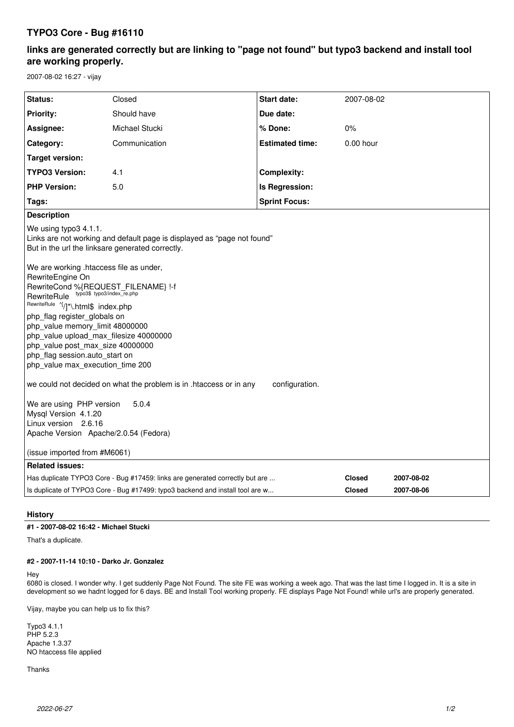# **TYPO3 Core - Bug #16110**

# **links are generated correctly but are linking to "page not found" but typo3 backend and install tool are working properly.**

2007-08-02 16:27 - vijay

| Status:                                                                                                                                                                                                                                                                                                                                                                                                                                                                                                                                                                                                                                                                         |                | <b>Start date:</b>     |               |            |
|---------------------------------------------------------------------------------------------------------------------------------------------------------------------------------------------------------------------------------------------------------------------------------------------------------------------------------------------------------------------------------------------------------------------------------------------------------------------------------------------------------------------------------------------------------------------------------------------------------------------------------------------------------------------------------|----------------|------------------------|---------------|------------|
|                                                                                                                                                                                                                                                                                                                                                                                                                                                                                                                                                                                                                                                                                 | Closed         |                        | 2007-08-02    |            |
| <b>Priority:</b>                                                                                                                                                                                                                                                                                                                                                                                                                                                                                                                                                                                                                                                                | Should have    | Due date:              |               |            |
| Assignee:                                                                                                                                                                                                                                                                                                                                                                                                                                                                                                                                                                                                                                                                       | Michael Stucki | % Done:                | 0%            |            |
| Category:                                                                                                                                                                                                                                                                                                                                                                                                                                                                                                                                                                                                                                                                       | Communication  | <b>Estimated time:</b> | $0.00$ hour   |            |
| <b>Target version:</b>                                                                                                                                                                                                                                                                                                                                                                                                                                                                                                                                                                                                                                                          |                |                        |               |            |
| <b>TYPO3 Version:</b>                                                                                                                                                                                                                                                                                                                                                                                                                                                                                                                                                                                                                                                           | 4.1            | <b>Complexity:</b>     |               |            |
| <b>PHP Version:</b>                                                                                                                                                                                                                                                                                                                                                                                                                                                                                                                                                                                                                                                             | 5.0            | Is Regression:         |               |            |
| Tags:                                                                                                                                                                                                                                                                                                                                                                                                                                                                                                                                                                                                                                                                           |                | <b>Sprint Focus:</b>   |               |            |
| <b>Description</b>                                                                                                                                                                                                                                                                                                                                                                                                                                                                                                                                                                                                                                                              |                |                        |               |            |
| We using typo3 4.1.1.<br>Links are not working and default page is displayed as "page not found"<br>But in the url the linksare generated correctly.                                                                                                                                                                                                                                                                                                                                                                                                                                                                                                                            |                |                        |               |            |
| We are working .htaccess file as under,<br>RewriteEngine On<br>RewriteCond %{REQUEST_FILENAME} !-f<br>RewriteRule typo3\$ typo3/index_re.php<br>RewriteRule<br>RewriteRule '[/]*\.html\$ index.php<br>php flag register globals on<br>php value memory limit 48000000<br>php value upload max filesize 40000000<br>php value post max size 40000000<br>php_flag session.auto_start on<br>php_value max_execution_time 200<br>we could not decided on what the problem is in .htaccess or in any<br>configuration.<br>We are using PHP version<br>5.0.4<br>Mysql Version 4.1.20<br>Linux version 2.6.16<br>Apache Version Apache/2.0.54 (Fedora)<br>(issue imported from #M6061) |                |                        |               |            |
| <b>Related issues:</b>                                                                                                                                                                                                                                                                                                                                                                                                                                                                                                                                                                                                                                                          |                |                        |               |            |
| Has duplicate TYPO3 Core - Bug #17459: links are generated correctly but are                                                                                                                                                                                                                                                                                                                                                                                                                                                                                                                                                                                                    |                |                        | <b>Closed</b> | 2007-08-02 |
| Is duplicate of TYPO3 Core - Bug #17499: typo3 backend and install tool are w                                                                                                                                                                                                                                                                                                                                                                                                                                                                                                                                                                                                   |                |                        | <b>Closed</b> | 2007-08-06 |
|                                                                                                                                                                                                                                                                                                                                                                                                                                                                                                                                                                                                                                                                                 |                |                        |               |            |

## **History**

## **#1 - 2007-08-02 16:42 - Michael Stucki**

That's a duplicate.

#### **#2 - 2007-11-14 10:10 - Darko Jr. Gonzalez**

Hey

6080 is closed. I wonder why. I get suddenly Page Not Found. The site FE was working a week ago. That was the last time I logged in. It is a site in development so we hadnt logged for 6 days. BE and Install Tool working properly. FE displays Page Not Found! while url's are properly generated.

Vijay, maybe you can help us to fix this?

Typo3 4.1.1 PHP 5.2.3 Apache 1.3.37 NO htaccess file applied

Thanks